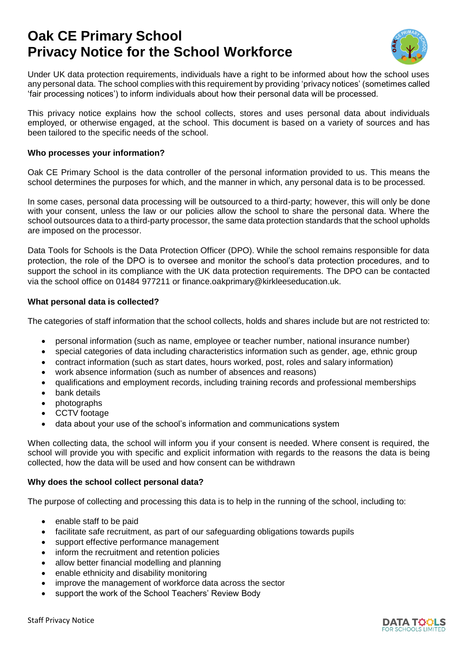# **Oak CE Primary School Privacy Notice for the School Workforce**



Under UK data protection requirements, individuals have a right to be informed about how the school uses any personal data. The school complies with this requirement by providing 'privacy notices' (sometimes called 'fair processing notices') to inform individuals about how their personal data will be processed.

This privacy notice explains how the school collects, stores and uses personal data about individuals employed, or otherwise engaged, at the school. This document is based on a variety of sources and has been tailored to the specific needs of the school.

## **Who processes your information?**

Oak CE Primary School is the data controller of the personal information provided to us. This means the school determines the purposes for which, and the manner in which, any personal data is to be processed.

In some cases, personal data processing will be outsourced to a third-party; however, this will only be done with your consent, unless the law or our policies allow the school to share the personal data. Where the school outsources data to a third-party processor, the same data protection standards that the school upholds are imposed on the processor.

Data Tools for Schools is the Data Protection Officer (DPO). While the school remains responsible for data protection, the role of the DPO is to oversee and monitor the school's data protection procedures, and to support the school in its compliance with the UK data protection requirements. The DPO can be contacted via the school office on 01484 977211 or finance.oakprimary@kirkleeseducation.uk.

#### **What personal data is collected?**

The categories of staff information that the school collects, holds and shares include but are not restricted to:

- personal information (such as name, employee or teacher number, national insurance number)
- special categories of data including characteristics information such as gender, age, ethnic group
- contract information (such as start dates, hours worked, post, roles and salary information)
- work absence information (such as number of absences and reasons)
- qualifications and employment records, including training records and professional memberships
- bank details
- photographs
- CCTV footage
- data about your use of the school's information and communications system

When collecting data, the school will inform you if your consent is needed. Where consent is required, the school will provide you with specific and explicit information with regards to the reasons the data is being collected, how the data will be used and how consent can be withdrawn

# **Why does the school collect personal data?**

The purpose of collecting and processing this data is to help in the running of the school, including to:

- enable staff to be paid
- facilitate safe recruitment, as part of our safeguarding obligations towards pupils
- support effective performance management
- inform the recruitment and retention policies
- allow better financial modelling and planning
- enable ethnicity and disability monitoring
- improve the management of workforce data across the sector
- support the work of the School Teachers' Review Body

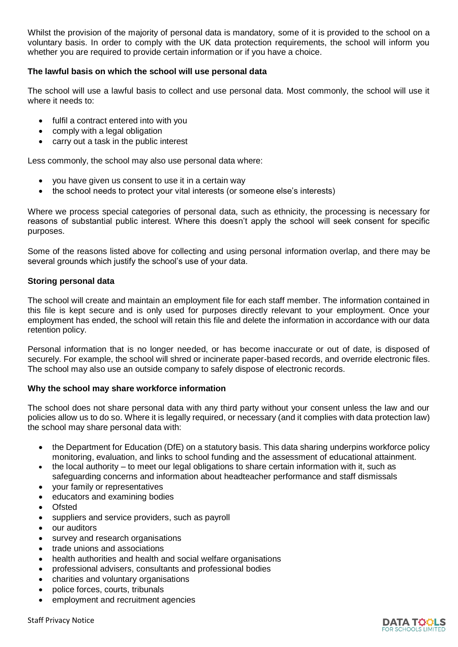Whilst the provision of the majority of personal data is mandatory, some of it is provided to the school on a voluntary basis. In order to comply with the UK data protection requirements, the school will inform you whether you are required to provide certain information or if you have a choice.

## **The lawful basis on which the school will use personal data**

The school will use a lawful basis to collect and use personal data. Most commonly, the school will use it where it needs to:

- fulfil a contract entered into with you
- comply with a legal obligation
- carry out a task in the public interest

Less commonly, the school may also use personal data where:

- you have given us consent to use it in a certain way
- the school needs to protect your vital interests (or someone else's interests)

Where we process special categories of personal data, such as ethnicity, the processing is necessary for reasons of substantial public interest. Where this doesn't apply the school will seek consent for specific purposes.

Some of the reasons listed above for collecting and using personal information overlap, and there may be several grounds which justify the school's use of your data.

#### **Storing personal data**

The school will create and maintain an employment file for each staff member. The information contained in this file is kept secure and is only used for purposes directly relevant to your employment. Once your employment has ended, the school will retain this file and delete the information in accordance with our data retention policy.

Personal information that is no longer needed, or has become inaccurate or out of date, is disposed of securely. For example, the school will shred or incinerate paper-based records, and override electronic files. The school may also use an outside company to safely dispose of electronic records.

# **Why the school may share workforce information**

The school does not share personal data with any third party without your consent unless the law and our policies allow us to do so. Where it is legally required, or necessary (and it complies with data protection law) the school may share personal data with:

- the Department for Education (DfE) on a statutory basis. This data sharing underpins workforce policy monitoring, evaluation, and links to school funding and the assessment of educational attainment.
- the local authority to meet our legal obligations to share certain information with it, such as safeguarding concerns and information about headteacher performance and staff dismissals
- your family or representatives
- educators and examining bodies
- Ofsted
- suppliers and service providers, such as payroll
- our auditors
- survey and research organisations
- trade unions and associations
- health authorities and health and social welfare organisations
- professional advisers, consultants and professional bodies
- charities and voluntary organisations
- police forces, courts, tribunals
- employment and recruitment agencies